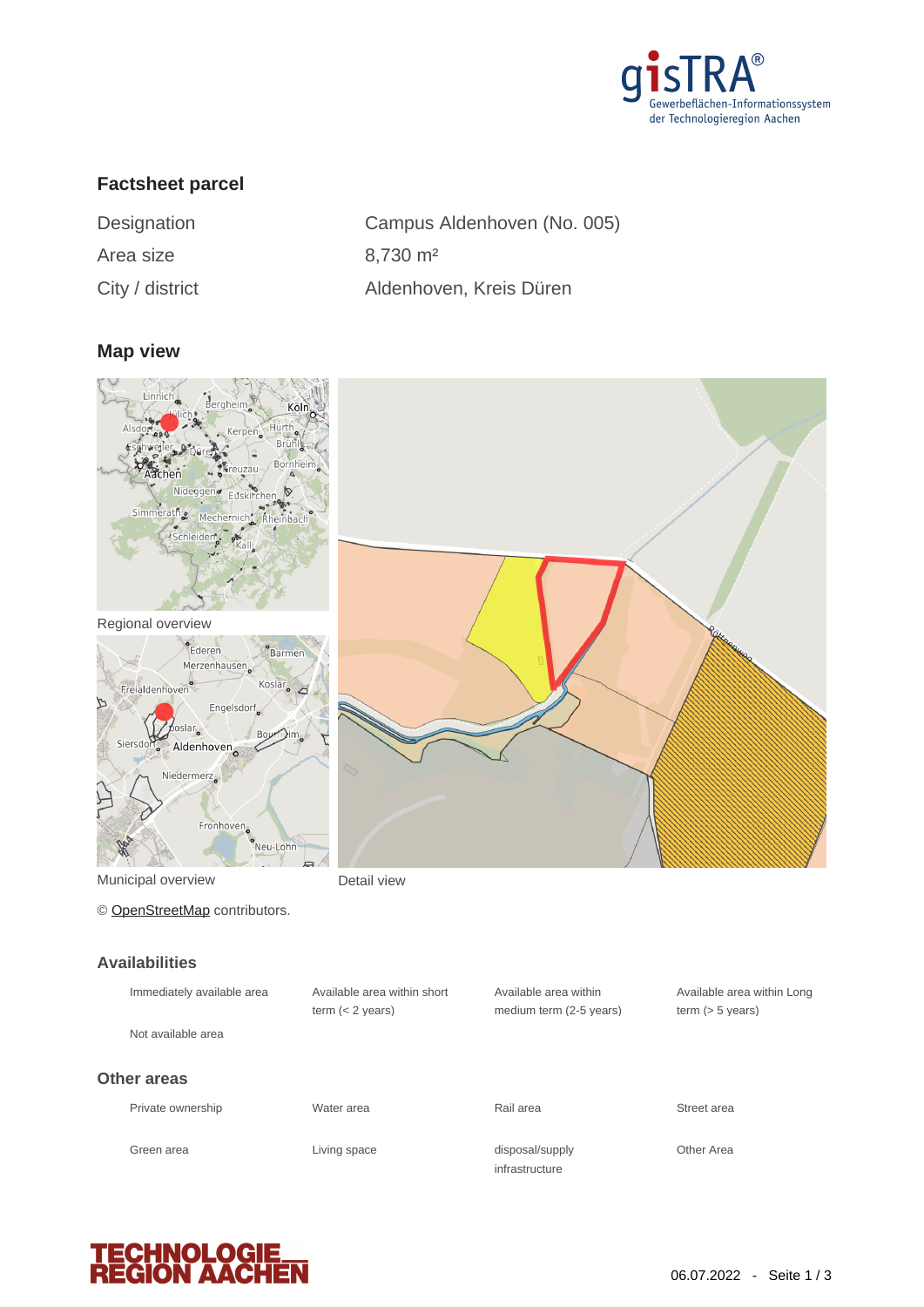

# **Factsheet parcel**

| Designation     | Campus Aldenhoven (No   |
|-----------------|-------------------------|
| Area size       | $8,730 \text{ m}^2$     |
| City / district | Aldenhoven, Kreis Düren |

Aldenhoven (No. 005)

#### **Map view**



Regional overview



Municipal overview **Detail view** 

© [OpenStreetMap](http://www.openstreetmap.org/copyright) contributors.

#### **Availabilities**

| Immediately available area | Available area within short<br>term $(< 2$ years) | Available area within<br>medium term (2-5 years) | Available a<br>term $(> 5 v)$ |
|----------------------------|---------------------------------------------------|--------------------------------------------------|-------------------------------|
| Not available area         |                                                   |                                                  |                               |
| Other areas                |                                                   |                                                  |                               |
| Private ownership          | Water area                                        | Rail area                                        | Street area                   |
| Green area                 | Living space                                      | disposal/supply<br>infrastructure                | Other Area                    |



Available area within Long term (> 5 years)

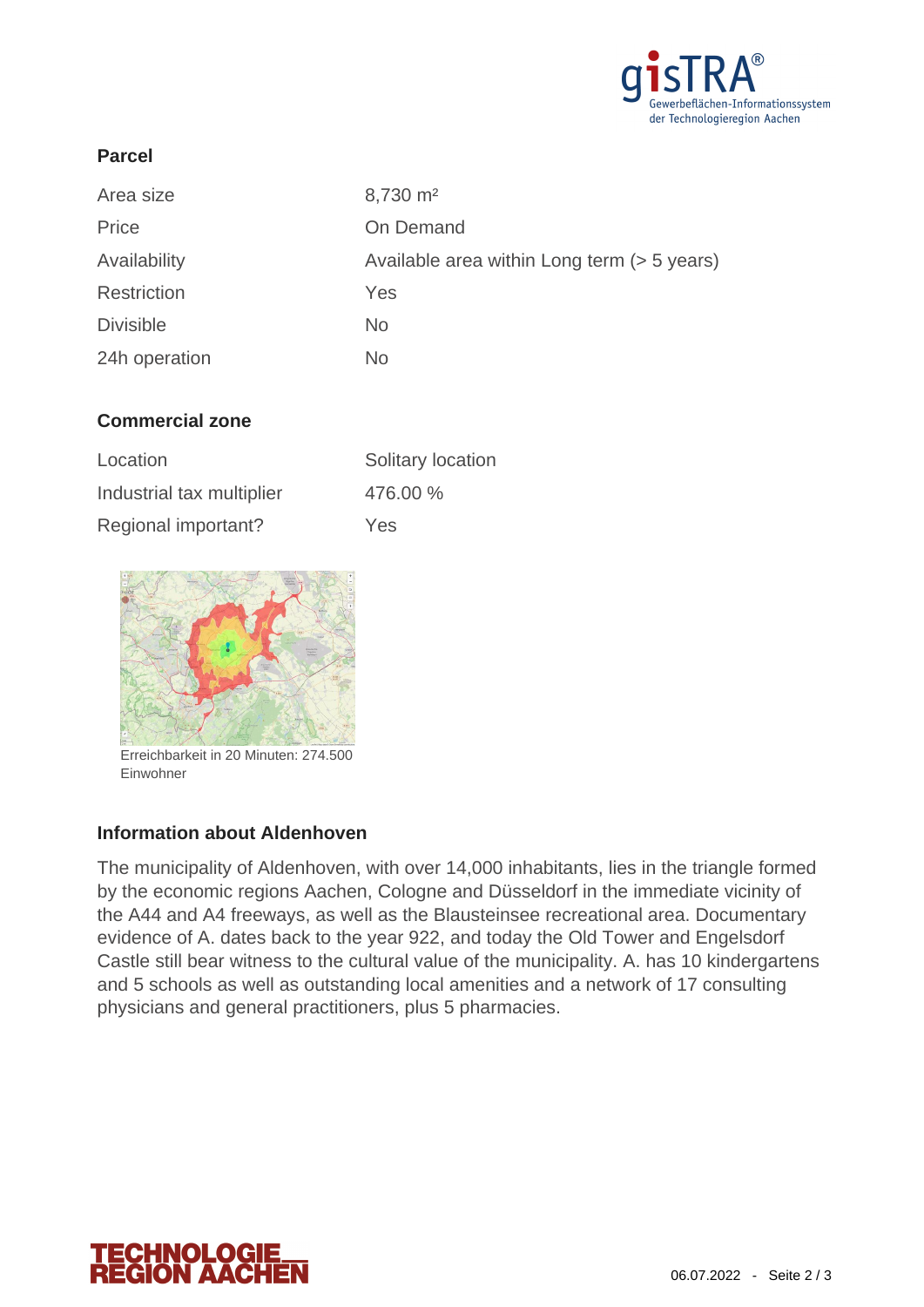

## **Parcel**

| Area size        | 8,730 m <sup>2</sup>                        |
|------------------|---------------------------------------------|
| Price            | On Demand                                   |
| Availability     | Available area within Long term (> 5 years) |
| Restriction      | Yes                                         |
| <b>Divisible</b> | <b>No</b>                                   |
| 24h operation    | No                                          |

## **Commercial zone**

| Location                  | Solitary location |
|---------------------------|-------------------|
| Industrial tax multiplier | 476.00 %          |
| Regional important?       | Yes               |



Erreichbarkeit in 20 Minuten: 274.500 Einwohner

### **Information about Aldenhoven**

The municipality of Aldenhoven, with over 14,000 inhabitants, lies in the triangle formed by the economic regions Aachen, Cologne and Düsseldorf in the immediate vicinity of the A44 and A4 freeways, as well as the Blausteinsee recreational area. Documentary evidence of A. dates back to the year 922, and today the Old Tower and Engelsdorf Castle still bear witness to the cultural value of the municipality. A. has 10 kindergartens and 5 schools as well as outstanding local amenities and a network of 17 consulting physicians and general practitioners, plus 5 pharmacies.